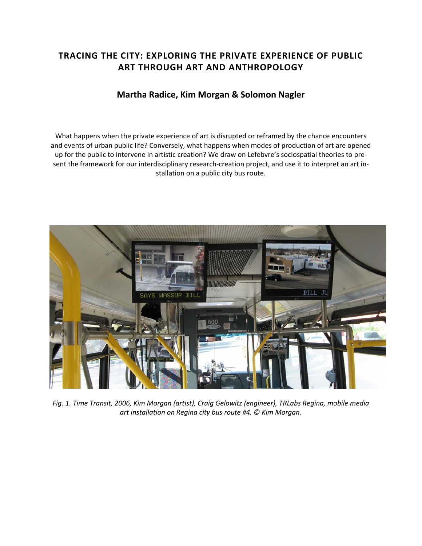# **TRACING THE CITY: EXPLORING THE PRIVATE EXPERIENCE OF PUBLIC ART THROUGH ART AND ANTHROPOLOGY**

# **Martha Radice, Kim Morgan & Solomon Nagler**

What happens when the private experience of art is disrupted or reframed by the chance encounters and events of urban public life? Conversely, what happens when modes of production of art are opened up for the public to intervene in artistic creation? We draw on Lefebvre's sociospatial theories to present the framework for our interdisciplinary research-creation project, and use it to interpret an art installation on a public city bus route.



*Fig. 1. Time Transit, 2006, Kim Morgan (artist), Craig Gelowitz (engineer), TRLabs Regina, mobile media art installation on Regina city bus route #4. © Kim Morgan.*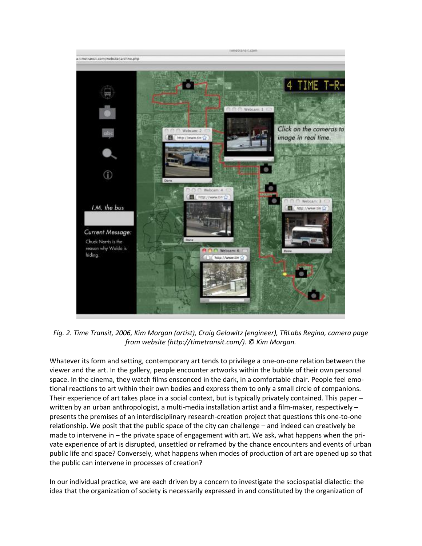

*Fig. 2. Time Transit, 2006, Kim Morgan (artist), Craig Gelowitz (engineer), TRLabs Regina, camera page from website (http://timetransit.com/). © Kim Morgan.*

Whatever its form and setting, contemporary art tends to privilege a one-on-one relation between the viewer and the art. In the gallery, people encounter artworks within the bubble of their own personal space. In the cinema, they watch films ensconced in the dark, in a comfortable chair. People feel emotional reactions to art within their own bodies and express them to only a small circle of companions. Their experience of art takes place in a social context, but is typically privately contained. This paper – written by an urban anthropologist, a multi-media installation artist and a film-maker, respectively – presents the premises of an interdisciplinary research-creation project that questions this one-to-one relationship. We posit that the public space of the city can challenge – and indeed can creatively be made to intervene in – the private space of engagement with art. We ask, what happens when the private experience of art is disrupted, unsettled or reframed by the chance encounters and events of urban public life and space? Conversely, what happens when modes of production of art are opened up so that the public can intervene in processes of creation?

In our individual practice, we are each driven by a concern to investigate the sociospatial dialectic: the idea that the organization of society is necessarily expressed in and constituted by the organization of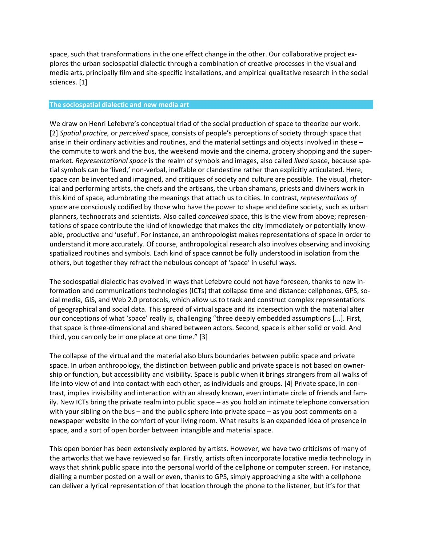space, such that transformations in the one effect change in the other. Our collaborative project explores the urban sociospatial dialectic through a combination of creative processes in the visual and media arts, principally film and site-specific installations, and empirical qualitative research in the social sciences. [1]

#### **The sociospatial dialectic and new media art**

We draw on Henri Lefebvre's conceptual triad of the social production of space to theorize our work. [2] *Spatial practice,* or *perceived* space, consists of people's perceptions of society through space that arise in their ordinary activities and routines, and the material settings and objects involved in these – the commute to work and the bus, the weekend movie and the cinema, grocery shopping and the supermarket. *Representational space* is the realm of symbols and images, also called *lived* space, because spatial symbols can be 'lived,' non-verbal, ineffable or clandestine rather than explicitly articulated. Here, space can be invented and imagined, and critiques of society and culture are possible. The visual, rhetorical and performing artists, the chefs and the artisans, the urban shamans, priests and diviners work in this kind of space, adumbrating the meanings that attach us to cities. In contrast, *representations of space* are consciously codified by those who have the power to shape and define society, such as urban planners, technocrats and scientists. Also called *conceived* space, this is the view from above; representations of space contribute the kind of knowledge that makes the city immediately or potentially knowable, productive and 'useful'. For instance, an anthropologist makes representations of space in order to understand it more accurately. Of course, anthropological research also involves observing and invoking spatialized routines and symbols. Each kind of space cannot be fully understood in isolation from the others, but together they refract the nebulous concept of 'space' in useful ways.

The sociospatial dialectic has evolved in ways that Lefebvre could not have foreseen, thanks to new information and communications technologies (ICTs) that collapse time and distance: cellphones, GPS, social media, GIS, and Web 2.0 protocols, which allow us to track and construct complex representations of geographical and social data. This spread of virtual space and its intersection with the material alter our conceptions of what 'space' really is, challenging "three deeply embedded assumptions [...]. First, that space is three-dimensional and shared between actors. Second, space is either solid or void. And third, you can only be in one place at one time." [3]

The collapse of the virtual and the material also blurs boundaries between public space and private space. In urban anthropology, the distinction between public and private space is not based on ownership or function, but accessibility and visibility. Space is public when it brings strangers from all walks of life into view of and into contact with each other, as individuals and groups. [4] Private space, in contrast, implies invisibility and interaction with an already known, even intimate circle of friends and family. New ICTs bring the private realm into public space – as you hold an intimate telephone conversation with your sibling on the bus – and the public sphere into private space – as you post comments on a newspaper website in the comfort of your living room. What results is an expanded idea of presence in space, and a sort of open border between intangible and material space.

This open border has been extensively explored by artists. However, we have two criticisms of many of the artworks that we have reviewed so far. Firstly, artists often incorporate locative media technology in ways that shrink public space into the personal world of the cellphone or computer screen. For instance, dialling a number posted on a wall or even, thanks to GPS, simply approaching a site with a cellphone can deliver a lyrical representation of that location through the phone to the listener, but it's for that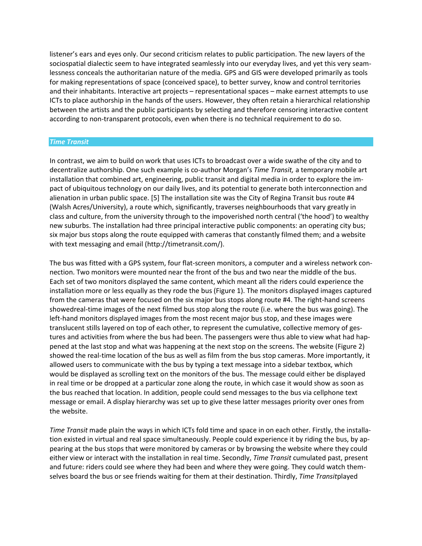listener's ears and eyes only. Our second criticism relates to public participation. The new layers of the sociospatial dialectic seem to have integrated seamlessly into our everyday lives, and yet this very seamlessness conceals the authoritarian nature of the media. GPS and GIS were developed primarily as tools for making representations of space (conceived space), to better survey, know and control territories and their inhabitants. Interactive art projects – representational spaces – make earnest attempts to use ICTs to place authorship in the hands of the users. However, they often retain a hierarchical relationship between the artists and the public participants by selecting and therefore censoring interactive content according to non-transparent protocols, even when there is no technical requirement to do so.

### *Time Transit*

In contrast, we aim to build on work that uses ICTs to broadcast over a wide swathe of the city and to decentralize authorship. One such example is co-author Morgan's *Time Transit,* a temporary mobile art installation that combined art, engineering, public transit and digital media in order to explore the impact of ubiquitous technology on our daily lives, and its potential to generate both interconnection and alienation in urban public space. [5] The installation site was the City of Regina Transit bus route #4 (Walsh Acres/University), a route which, significantly, traverses neighbourhoods that vary greatly in class and culture, from the university through to the impoverished north central ('the hood') to wealthy new suburbs. The installation had three principal interactive public components: an operating city bus; six major bus stops along the route equipped with cameras that constantly filmed them; and a website with text messaging and email (http://timetransit.com/).

The bus was fitted with a GPS system, four flat-screen monitors, a computer and a wireless network connection. Two monitors were mounted near the front of the bus and two near the middle of the bus. Each set of two monitors displayed the same content, which meant all the riders could experience the installation more or less equally as they rode the bus (Figure 1). The monitors displayed images captured from the cameras that were focused on the six major bus stops along route #4. The right-hand screens showedreal-time images of the next filmed bus stop along the route (i.e. where the bus was going). The left-hand monitors displayed images from the most recent major bus stop, and these images were translucent stills layered on top of each other, to represent the cumulative, collective memory of gestures and activities from where the bus had been. The passengers were thus able to view what had happened at the last stop and what was happening at the next stop on the screens. The website (Figure 2) showed the real-time location of the bus as well as film from the bus stop cameras. More importantly, it allowed users to communicate with the bus by typing a text message into a sidebar textbox, which would be displayed as scrolling text on the monitors of the bus. The message could either be displayed in real time or be dropped at a particular zone along the route, in which case it would show as soon as the bus reached that location. In addition, people could send messages to the bus via cellphone text message or email. A display hierarchy was set up to give these latter messages priority over ones from the website.

*Time Transit* made plain the ways in which ICTs fold time and space in on each other. Firstly, the installation existed in virtual and real space simultaneously. People could experience it by riding the bus, by appearing at the bus stops that were monitored by cameras or by browsing the website where they could either view or interact with the installation in real time. Secondly, *Time Transit* cumulated past, present and future: riders could see where they had been and where they were going. They could watch themselves board the bus or see friends waiting for them at their destination. Thirdly, *Time Transit*played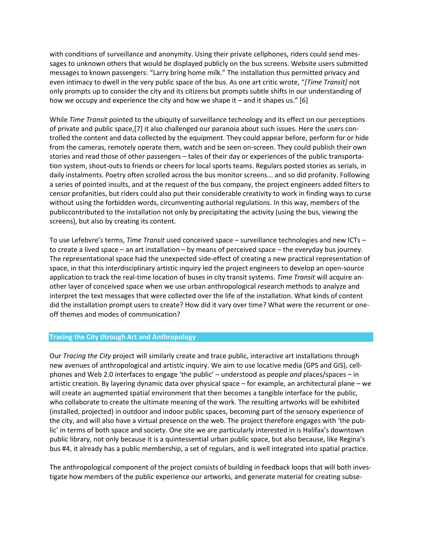with conditions of surveillance and anonymity. Using their private cellphones, riders could send messages to unknown others that would be displayed publicly on the bus screens. Website users submitted messages to known passengers: "Larry bring home milk." The installation thus permitted privacy and even intimacy to dwell in the very public space of the bus. As one art critic wrote, "*[Time Transit]* not only prompts up to consider the city and its citizens but prompts subtle shifts in our understanding of how we occupy and experience the city and how we shape it – and it shapes us." [6]

While *Time Transit* pointed to the ubiquity of surveillance technology and its effect on our perceptions of private and public space,[7] it also challenged our paranoia about such issues. Here the users controlled the content and data collected by the equipment. They could appear before, perform for or hide from the cameras, remotely operate them, watch and be seen on-screen. They could publish their own stories and read those of other passengers – tales of their day or experiences of the public transportation system, shout-outs to friends or cheers for local sports teams. Regulars posted stories as serials, in daily instalments. Poetry often scrolled across the bus monitor screens... and so did profanity. Following a series of pointed insults, and at the request of the bus company, the project engineers added filters to censor profanities, but riders could also put their considerable creativity to work in finding ways to curse without using the forbidden words, circumventing authorial regulations. In this way, members of the publiccontributed to the installation not only by precipitating the activity (using the bus, viewing the screens), but also by creating its content.

To use Lefebvre's terms, *Time Transit* used conceived space – surveillance technologies and new ICTs – to create a lived space – an art installation – by means of perceived space – the everyday bus journey. The representational space had the unexpected side-effect of creating a new practical representation of space, in that this interdisciplinary artistic inquiry led the project engineers to develop an open-source application to track the real-time location of buses in city transit systems. *Time Transit* will acquire another layer of conceived space when we use urban anthropological research methods to analyze and interpret the text messages that were collected over the life of the installation. What kinds of content did the installation prompt users to create? How did it vary over time? What were the recurrent or oneoff themes and modes of communication?

#### **Tracing the City through Art and Anthropology**

Our *Tracing the City* project will similarly create and trace public, interactive art installations through new avenues of anthropological and artistic inquiry. We aim to use locative media (GPS and GIS), cellphones and Web 2.0 interfaces to engage 'the public' – understood as people *and* places/spaces – in artistic creation. By layering dynamic data over physical space – for example, an architectural plane – we will create an augmented spatial environment that then becomes a tangible interface for the public, who collaborate to create the ultimate meaning of the work. The resulting artworks will be exhibited (installed, projected) in outdoor and indoor public spaces, becoming part of the sensory experience of the city, and will also have a virtual presence on the web. The project therefore engages with 'the public' in terms of both space and society. One site we are particularly interested in is Halifax's downtown public library, not only because it is a quintessential urban public space, but also because, like Regina's bus #4, it already has a public membership, a set of regulars, and is well integrated into spatial practice.

The anthropological component of the project consists of building in feedback loops that will both investigate how members of the public experience our artworks, and generate material for creating subse